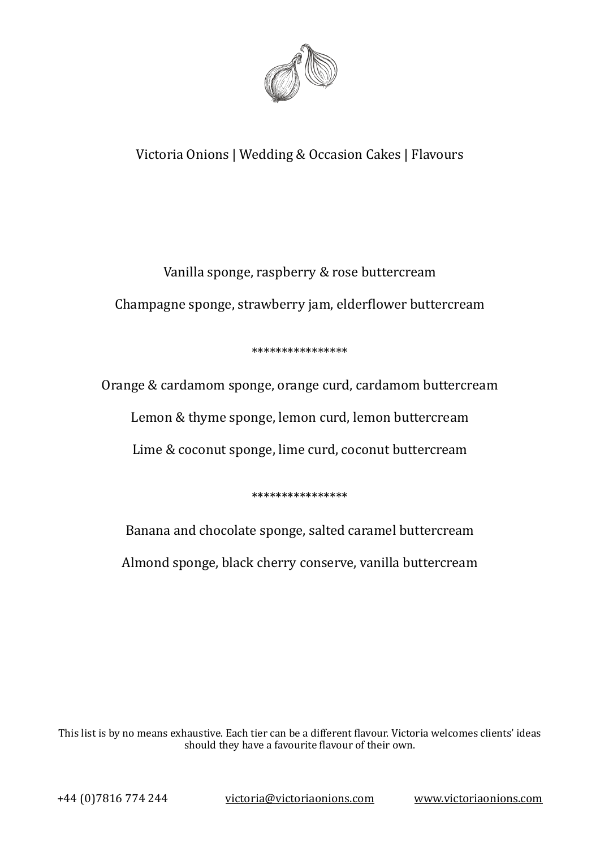

## Victoria Onions | Wedding & Occasion Cakes | Flavours

# Vanilla sponge, raspberry & rose buttercream Champagne sponge, strawberry jam, elderflower buttercream

#### \*\*\*\*\*\*\*\*\*\*\*\*\*\*\*\*

Orange & cardamom sponge, orange curd, cardamom buttercream Lemon & thyme sponge, lemon curd, lemon buttercream Lime & coconut sponge, lime curd, coconut buttercream

\*\*\*\*\*\*\*\*\*\*\*\*\*\*\*\* 

Banana and chocolate sponge, salted caramel buttercream Almond sponge, black cherry conserve, vanilla buttercream

This list is by no means exhaustive. Each tier can be a different flavour. Victoria welcomes clients' ideas should they have a favourite flavour of their own.

+44 (0)7816 774 244 [victoria@victoriaonions.com](mailto:victoria@victoriaonions.com) [www.victoriaonions.com](http://www.victoriaonions.com)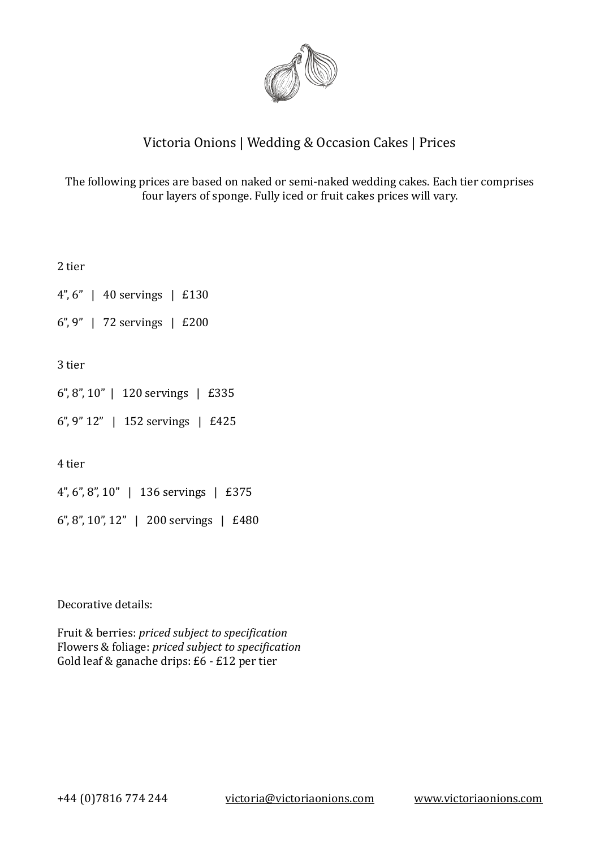

### Victoria Onions | Wedding & Occasion Cakes | Prices

The following prices are based on naked or semi-naked wedding cakes. Each tier comprises four layers of sponge. Fully iced or fruit cakes prices will vary.

2 tier

 $4''$ ,  $6''$  | 40 servings | £130

6",  $9"$  | 72 servings | £200

3 tier 

 $6$ ",  $8$ ",  $10$ " | 120 servings | £335

 $6$ ",  $9$ "  $12$ " | 152 servings | £425

4 tier 

 $4$ ", 6", 8", 10" | 136 servings | £375

6", 8", 10", 12" | 200 servings | £480

Decorative details:

Fruit & berries: *priced subject to specification* Flowers & foliage: *priced subject to specification* Gold leaf & ganache drips:  $E6 - E12$  per tier